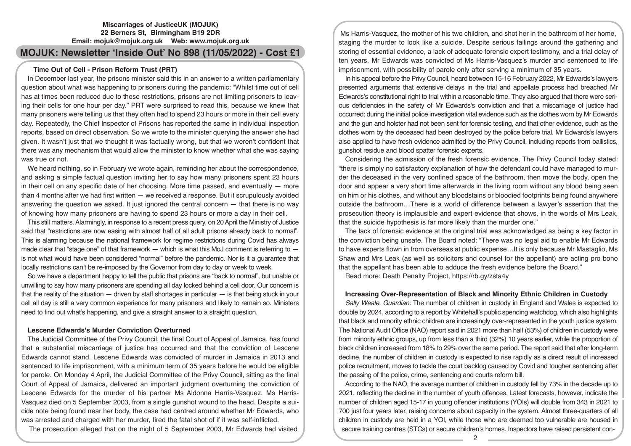# **Miscarriages of JusticeUK (MOJUK) 22 Berners St, Birmingham B19 2DR Email: mojuk@mojuk.org.uk Web: www.mojuk.org.uk**

# **MOJUK: Newsletter 'Inside Out' No 898 (11/05/2022) - Cost £1**

# **Time Out of Cell - Prison Reform Trust (PRT)**

In December last year, the prisons minister said this in an answer to a written parliamentary question about what was happening to prisoners during the pandemic: "Whilst time out of cell has at times been reduced due to these restrictions, prisons are not limiting prisoners to leaving their cells for one hour per day." PRT were surprised to read this, because we knew that many prisoners were telling us that they often had to spend 23 hours or more in their cell every day. Repeatedly, the Chief Inspector of Prisons has reported the same in individual inspection reports, based on direct observation. So we wrote to the minister querying the answer she had given. It wasn't just that we thought it was factually wrong, but that we weren't confident that there was any mechanism that would allow the minister to know whether what she was saying was true or not.

We heard nothing, so in February we wrote again, reminding her about the correspondence, and asking a simple factual question inviting her to say how many prisoners spent 23 hours in their cell on any specific date of her choosing. More time passed, and eventually  $-$  more than 4 months after we had first written — we received a response. But it scrupulously avoided answering the question we asked. It just ignored the central concern — that there is no way of knowing how many prisoners are having to spend 23 hours or more a day in their cell.

This still matters. Alarmingly, in response to a recent press query, on 20 April the Ministry of Justice said that "restrictions are now easing with almost half of all adult prisons already back to normal". This is alarming because the national framework for regime restrictions during Covid has always made clear that "stage one" of that framework  $-$  which is what this MoJ comment is referring to  $$ is not what would have been considered "normal" before the pandemic. Nor is it a guarantee that locally restrictions can't be re-imposed by the Governor from day to day or week to week.

So we have a department happy to tell the public that prisons are "back to normal", but unable or unwilling to say how many prisoners are spending all day locked behind a cell door. Our concern is that the reality of the situation — driven by staff shortages in particular — is that being stuck in your cell all day is still a very common experience for many prisoners and likely to remain so. Ministers need to find out what's happening, and give a straight answer to a straight question.

# **Lescene Edwards's Murder Conviction Overturned**

The Judicial Committee of the Privy Council, the final Court of Appeal of Jamaica, has found that a substantial miscarriage of justice has occurred and that the conviction of Lescene Edwards cannot stand. Lescene Edwards was convicted of murder in Jamaica in 2013 and sentenced to life imprisonment, with a minimum term of 35 years before he would be eligible for parole. On Monday 4 April, the Judicial Committee of the Privy Council, sitting as the final Court of Appeal of Jamaica, delivered an important judgment overturning the conviction of Lescene Edwards for the murder of his partner Ms Aldonna Harris-Vasquez. Ms Harris-Vasquez died on 5 September 2003, from a single gunshot wound to the head. Despite a suicide note being found near her body, the case had centred around whether Mr Edwards, who was arrested and charged with her murder, fired the fatal shot of if it was self-inflicted.

The prosecution alleged that on the night of 5 September 2003, Mr Edwards had visited

Ms Harris-Vasquez, the mother of his two children, and shot her in the bathroom of her home, staging the murder to look like a suicide. Despite serious failings around the gathering and storing of essential evidence, a lack of adequate forensic expert testimony, and a trial delay of ten years, Mr Edwards was convicted of Ms Harris-Vasquez's murder and sentenced to life imprisonment, with possibility of parole only after serving a minimum of 35 years.

In his appeal before the Privy Council, heard between 15-16 February 2022, Mr Edwards's lawyers presented arguments that extensive delays in the trial and appellate process had breached Mr Edwards's constitutional right to trial within a reasonable time. They also argued that there were serious deficiencies in the safety of Mr Edwards's conviction and that a miscarriage of justice had occurred; during the initial police investigation vital evidence such as the clothes worn by Mr Edwards and the gun and holster had not been sent for forensic testing, and that other evidence, such as the clothes worn by the deceased had been destroyed by the police before trial. Mr Edwards's lawyers also applied to have fresh evidence admitted by the Privy Council, including reports from ballistics, gunshot residue and blood spatter forensic experts.

Considering the admission of the fresh forensic evidence, The Privy Council today stated: "there is simply no satisfactory explanation of how the defendant could have managed to murder the deceased in the very confined space of the bathroom, then move the body, open the door and appear a very short time afterwards in the living room without any blood being seen on him or his clothes, and without any bloodstains or bloodied footprints being found anywhere outside the bathroom…There is a world of difference between a lawyer's assertion that the prosecution theory is implausible and expert evidence that shows, in the words of Mrs Leak, that the suicide hypothesis is far more likely than the murder one."

The lack of forensic evidence at the original trial was acknowledged as being a key factor in the conviction being unsafe. The Board noted: "There was no legal aid to enable Mr Edwards to have experts flown in from overseas at public expense…It is only because Mr Mastaglio, Ms Shaw and Mrs Leak (as well as solicitors and counsel for the appellant) are acting pro bono that the appellant has been able to adduce the fresh evidence before the Board."

Read more: Death Penalty Project, https://rb.gy/zsta4y

# **Increasing Over-Representation of Black and Minority Ethnic Children in Custody**

*Sally Weale, Guardian:* The number of children in custody in England and Wales is expected to double by 2024, according to a report by Whitehall's public spending watchdog, which also highlights that black and minority ethnic children are increasingly over-represented in the youth justice system. The National Audit Office (NAO) report said in 2021 more than half (53%) of children in custody were from minority ethnic groups, up from less than a third (32%) 10 years earlier, while the proportion of black children increased from 18% to 29% over the same period. The report said that after long-term decline, the number of children in custody is expected to rise rapidly as a direct result of increased police recruitment, moves to tackle the court backlog caused by Covid and tougher sentencing after the passing of the police, crime, sentencing and courts reform bill.

According to the NAO, the average number of children in custody fell by 73% in the decade up to 2021, reflecting the decline in the number of youth offences. Latest forecasts, however, indicate the number of children aged 15-17 in young offender institutions (YOIs) will double from 343 in 2021 to 700 just four years later, raising concerns about capacity in the system. Almost three-quarters of all children in custody are held in a YOI, while those who are deemed too vulnerable are housed in secure training centres (STCs) or secure children's homes. Inspectors have raised persistent con-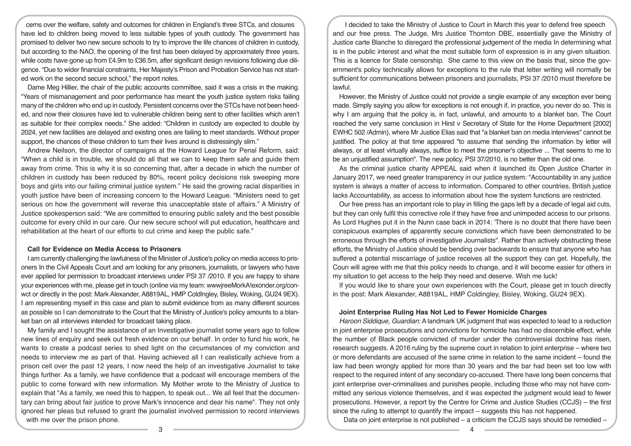cerns over the welfare, safety and outcomes for children in England's three STCs, and closures have led to children being moved to less suitable types of youth custody. The government has promised to deliver two new secure schools to try to improve the life chances of children in custody, but according to the NAO, the opening of the first has been delayed by approximately three years, while costs have gone up from £4.9m to £36.5m, after significant design revisions following due diligence. "Due to wider financial constraints, Her Majesty's Prison and Probation Service has not started work on the second secure school," the report notes.

Dame Meg Hillier, the chair of the public accounts committee, said it was a crisis in the making. "Years of mismanagement and poor performance has meant the youth justice system risks failing many of the children who end up in custody. Persistent concerns over the STCs have not been heeded, and now their closures have led to vulnerable children being sent to other facilities which aren't as suitable for their complex needs." She added: "Children in custody are expected to double by 2024, yet new facilities are delayed and existing ones are failing to meet standards. Without proper support, the chances of these children to turn their lives around is distressingly slim."

Andrew Neilson, the director of campaigns at the Howard League for Penal Reform, said: "When a child is in trouble, we should do all that we can to keep them safe and guide them away from crime. This is why it is so concerning that, after a decade in which the number of children in custody has been reduced by 80%, recent policy decisions risk sweeping more boys and girls into our failing criminal justice system." He said the growing racial disparities in youth justice have been of increasing concern to the Howard League. "Ministers need to get serious on how the government will reverse this unacceptable state of affairs." A Ministry of Justice spokesperson said: "We are committed to ensuring public safety and the best possible outcome for every child in our care. Our new secure school will put education, healthcare and rehabilitation at the heart of our efforts to cut crime and keep the public safe."

## **Call for Evidence on Media Access to Prisoners**

I am currently challenging the lawfulness of the Minister of Justice's policy on media access to prisoners In the Civil Appeals Court and am looking for any prisoners, journalists, or lawyers who have ever applied for permission to broadcast interviews under PSI 37 /2010. If you are happy to share your experiences with me, please get in touch (online via my team: wwwjreeMorkA!exonder.org/conwct or directly in the post: Mark Alexander, A8819AL, HMP Coldlngley, Bisley, Woking, GU24 9EX). I am representing myself in this case and plan to submit evidence from as many different sources as possible so I can demonstrate to the Court that the Ministry of Justice's policy amounts to a blanket ban on all interviews intended for broadcast taking place.

My family and I sought the assistance of an Investigative journalist some years ago to follow new lines of enquiry and seek out fresh evidence on our behalf. In order to fund his work, he wants to create a podcast series to shed light on the circumstances of my conviction and needs to interview me as part of that. Having achieved all I can realistically achieve from a prison cell over the past 12 years, I now need the help of an investigative Journalist to take things further. As a family, we have confidence that a podcast will encourage members of the public to come forward with new information. My Mother wrote to the Ministry of Justice to explain that "As a family, we need this to happen, to speak out... We all feel that the documentary can bring about fair justice to prove Mark's innocence and dear his name". They not only ignored her pleas but refused to grant the journalist involved permission to record interviews with me over the prison phone.

I decided to take the Ministry of Justice to Court in March this year to defend free speech and our free press. The Judge, Mrs Justice Thornton DBE, essentially gave the Ministry of Justice carte Blanche to disregard the professional judgement of the media In determining what is in the public interest and what the most suitable form of expression is in any given situation. This is a licence for State censorship. She came to this view on the basis that, since the government's policy technically allows for exceptions to the rule that letter writing will normally be sufficient for communications between prisoners and journalists, PSI 37 /2010 must therefore be lawful.

However, the Ministry of Justice could not provide a single example of any exception ever being made. Simply saying you allow for exceptions is not enough if, in practice, you never do so. This is why I am arguing that the policy is, in fact, unlawful, and amounts to a blanket ban. The Court reached the very same conclusion in Hirst v Secretary of State for the Home Department [2002] EWHC 502 /Admin}, where Mr Justice Elias said that "a blanket ban on media interviews" cannot be justified. The policy at that time appeared "to assume that sending the information by letter will always, or at least virtually always, suffice to meet the prisoner's objective ... That seems to me to be an unjustified assumption". The new policy, PSI 37/2010, is no better than the old one.

As the criminal justice charity APPEAL said when it launched its Open Justice Charter in January 2017, we need greater transparency in our justice system: "Accountability in any justice system is always a matter of access to information. Compared to other countries, British justice lacks Accountability, as access to information about how the system functions are restricted.

Our free press has an important role to play in filling the gaps left by a decade of legal aid cuts, but they can only fulfil this corrective role if they have free and unimpeded access to our prisons. As Lord Hughes put it in the Nunn case back in 2014: 'There is no doubt that there have been conspicuous examples of apparently secure convictions which have been demonstrated to be erroneous through the efforts of investigative Journalists". Rather than actively obstructing these efforts, the Ministry of Justice should be bending over backwards to ensure that anyone who has suffered a potential miscarriage of justice receives all the support they can get. Hopefully, the Coun will agree with me that this policy needs to change, and it will become easier for others in my situation to get access to the help they need and deserve. Wish me luck!

If you would like to share your own experiences with the Court, please get in touch directly in the post: Mark Alexander, A8819AL, HMP Coldingley, Bisley, Woking, GU24 9EX).

#### **Joint Enterprise Ruling Has Not Led to Fewer Homicide Charges**

*Haroon Siddique, Guardian:* A landmark UK judgment that was expected to lead to a reduction in joint enterprise prosecutions and convictions for homicide has had no discernible effect, while the number of Black people convicted of murder under the controversial doctrine has risen, research suggests. A 2016 ruling by the supreme court in relation to joint enterprise – where two or more defendants are accused of the same crime in relation to the same incident – found the law had been wrongly applied for more than 30 years and the bar had been set too low with respect to the required intent of any secondary co-accused. There have long been concerns that joint enterprise over-criminalises and punishes people, including those who may not have committed any serious violence themselves, and it was expected the judgment would lead to fewer prosecutions. However, a report by the Centre for Crime and Justice Studies (CCJS) – the first since the ruling to attempt to quantify the impact – suggests this has not happened.

Data on joint enterprise is not published – a criticism the CCJS says should be remedied –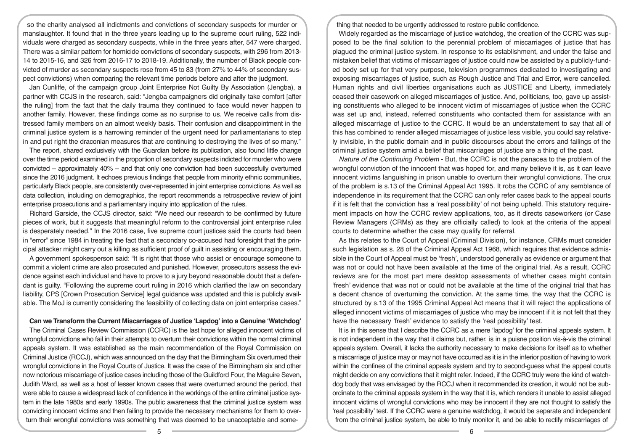so the charity analysed all indictments and convictions of secondary suspects for murder or manslaughter. It found that in the three years leading up to the supreme court ruling, 522 individuals were charged as secondary suspects, while in the three years after, 547 were charged. There was a similar pattern for homicide convictions of secondary suspects, with 296 from 2013- 14 to 2015-16, and 326 from 2016-17 to 2018-19. Additionally, the number of Black people convicted of murder as secondary suspects rose from 45 to 83 (from 27% to 44% of secondary suspect convictions) when comparing the relevant time periods before and after the judgment.

Jan Cunliffe, of the campaign group Joint Enterprise Not Guilty By Association (Jengba), a partner with CCJS in the research, said: "Jengba campaigners did originally take comfort [after the ruling] from the fact that the daily trauma they continued to face would never happen to another family. However, these findings come as no surprise to us. We receive calls from distressed family members on an almost weekly basis. Their confusion and disappointment in the criminal justice system is a harrowing reminder of the urgent need for parliamentarians to step in and put right the draconian measures that are continuing to destroying the lives of so many."

The report, shared exclusively with the Guardian before its publication, also found little change over the time period examined in the proportion of secondary suspects indicted for murder who were convicted – approximately 40% – and that only one conviction had been successfully overturned since the 2016 judgment. It echoes previous findings that people from minority ethnic communities, particularly Black people, are consistently over-represented in joint enterprise convictions. As well as data collection, including on demographics, the report recommends a retrospective review of joint enterprise prosecutions and a parliamentary inquiry into application of the rules.

Richard Garside, the CCJS director, said: "We need our research to be confirmed by future pieces of work, but it suggests that meaningful reform to the controversial joint enterprise rules is desperately needed." In the 2016 case, five supreme court justices said the courts had been in "error" since 1984 in treating the fact that a secondary co-accused had foresight that the principal attacker might carry out a killing as sufficient proof of guilt in assisting or encouraging them.

A government spokesperson said: "It is right that those who assist or encourage someone to commit a violent crime are also prosecuted and punished. However, prosecutors assess the evidence against each individual and have to prove to a jury beyond reasonable doubt that a defendant is guilty. "Following the supreme court ruling in 2016 which clarified the law on secondary liability, CPS [Crown Prosecution Service] legal guidance was updated and this is publicly available. The MoJ is currently considering the feasibility of collecting data on joint enterprise cases."

#### **Can we Transform the Current Miscarriages of Justice 'Lapdog' into a Genuine 'Watchdog'**

The Criminal Cases Review Commission (CCRC) is the last hope for alleged innocent victims of wrongful convictions who fail in their attempts to overturn their convictions within the normal criminal appeals system. It was established as the main recommendation of the Royal Commission on Criminal Justice (RCCJ), which was announced on the day that the Birmingham Six overturned their wrongful convictions in the Royal Courts of Justice. It was the case of the Birmingham six and other now notorious miscarriage of justice cases including those of the Guildford Four, the Maguire Seven, Judith Ward, as well as a host of lesser known cases that were overturned around the period, that were able to cause a widespread lack of confidence in the workings of the entire criminal justice system in the late 1980s and early 1990s. The public awareness that the criminal justice system was convicting innocent victims and then failing to provide the necessary mechanisms for them to overturn their wrongful convictions was something that was deemed to be unacceptable and something that needed to be urgently addressed to restore public confidence.

Widely regarded as the miscarriage of justice watchdog, the creation of the CCRC was supposed to be the final solution to the perennial problem of miscarriages of justice that has plagued the criminal justice system. In response to its establishment, and under the false and mistaken belief that victims of miscarriages of justice could now be assisted by a publicly-funded body set up for that very purpose, television programmes dedicated to investigating and exposing miscarriages of justice, such as Rough Justice and Trial and Error, were cancelled. Human rights and civil liberties organisations such as JUSTICE and Liberty, immediately ceased their casework on alleged miscarriages of justice. And, politicians, too, gave up assisting constituents who alleged to be innocent victim of miscarriages of justice when the CCRC was set up and, instead, referred constituents who contacted them for assistance with an alleged miscarriage of justice to the CCRC. It would be an understatement to say that all of this has combined to render alleged miscarriages of justice less visible, you could say relatively invisible, in the public domain and in public discourses about the errors and failings of the criminal justice system amid a belief that miscarriages of justice are a thing of the past.

*Nature of the Continuing Problem* - But, the CCRC is not the panacea to the problem of the wrongful conviction of the innocent that was hoped for, and many believe it is, as it can leave innocent victims languishing in prison unable to overturn their wrongful convictions. The crux of the problem is s.13 of the Criminal Appeal Act 1995. It robs the CCRC of any semblance of independence in its requirement that the CCRC can only refer cases back to the appeal courts if it is felt that the conviction has a 'real possibility' of not being upheld. This statutory requirement impacts on how the CCRC review applications, too, as it directs caseworkers (or Case Review Managers (CRMs) as they are officially called) to look at the criteria of the appeal courts to determine whether the case may qualify for referral.

As this relates to the Court of Appeal (Criminal Division), for instance, CRMs must consider such legislation as s. 28 of the Criminal Appeal Act 1968, which requires that evidence admissible in the Court of Appeal must be 'fresh', understood generally as evidence or argument that was not or could not have been available at the time of the original trial. As a result, CCRC reviews are for the most part mere desktop assessments of whether cases might contain 'fresh' evidence that was not or could not be available at the time of the original trial that has a decent chance of overturning the conviction. At the same time, the way that the CCRC is structured by s.13 of the 1995 Criminal Appeal Act means that it will reject the applications of alleged innocent victims of miscarriages of justice who may be innocent if it is not felt that they have the necessary 'fresh' evidence to satisfy the 'real possibility' test.

It is in this sense that I describe the CCRC as a mere 'lapdog' for the criminal appeals system. It is not independent in the way that it claims but, rather, is in a puisne position vis-à-vis the criminal appeals system. Overall, it lacks the authority necessary to make decisions for itself as to whether a miscarriage of justice may or may not have occurred as it is in the inferior position of having to work within the confines of the criminal appeals system and try to second-guess what the appeal courts might decide on any convictions that it might refer. Indeed, if the CCRC truly were the kind of watchdog body that was envisaged by the RCCJ when it recommended its creation, it would not be subordinate to the criminal appeals system in the way that it is, which renders it unable to assist alleged innocent victims of wrongful convictions who may be innocent if they are not thought to satisfy the 'real possibility' test. If the CCRC were a genuine watchdog, it would be separate and independent from the criminal justice system, be able to truly monitor it, and be able to rectify miscarriages of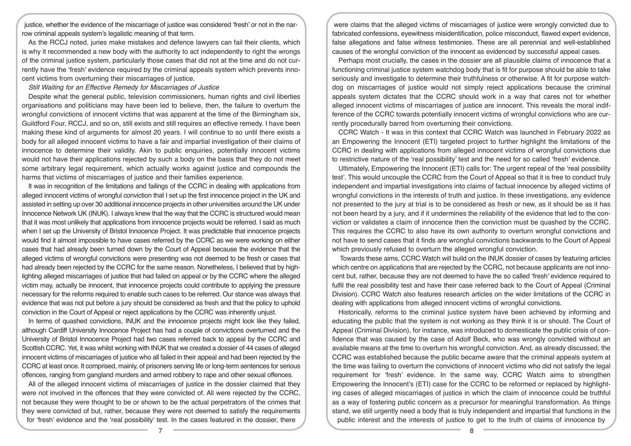justice, whether the evidence of the miscarriage of justice was considered 'fresh' or not in the narrow criminal appeals system's legalistic meaning of that term.

As the RCCJ noted, juries make mistakes and defence lawyers can fail their clients, which is why it recommended a new body with the authority to act independently to right the wrongs of the criminal justice system, particularly those cases that did not at the time and do not currently have the 'fresh' evidence required by the criminal appeals system which prevents innocent victims from overturning their miscarriages of justice.

*Still Waiting for an Effective Remedy for Miscarriages of Justice* 

Despite what the general public, television commissioners, human rights and civil liberties organisations and politicians may have been led to believe, then, the failure to overturn the wrongful convictions of innocent victims that was apparent at the time of the Birmingham six, Guildford Four, RCCJ, and so on, still exists and still requires an effective remedy. I have been making these kind of arguments for almost 20 years. I will continue to so until there exists a body for all alleged innocent victims to have a fair and impartial investigation of their claims of innocence to determine their validity. Akin to public enquiries, potentially innocent victims would not have their applications rejected by such a body on the basis that they do not meet some arbitrary legal requirement, which actually works against justice and compounds the harms that victims of miscarriages of justice and their families experience.

It was in recognition of the limitations and failings of the CCRC in dealing with applications from alleged innocent victims of wrongful conviction that I set up the first innocence project in the UK and assisted in setting up over 30 additional innocence projects in other universities around the UK under Innocence Network UK (INUK). I always knew that the way that the CCRC is structured would mean that it was most unlikely that applications from innocence projects would be referred. I said as much when I set up the University of Bristol Innocence Project. It was predictable that innocence projects would find it almost impossible to have cases referred by the CCRC as we were working on either cases that had already been turned down by the Court of Appeal because the evidence that the alleged victims of wrongful convictions were presenting was not deemed to be fresh or cases that had already been rejected by the CCRC for the same reason. Nonetheless, I believed that by highlighting alleged miscarriages of justice that had failed on appeal or by the CCRC where the alleged victim may, actually be innocent, that innocence projects could contribute to applying the pressure necessary for the reforms required to enable such cases to be referred. Our stance was always that evidence that was not put before a jury should be considered as fresh and that the policy to uphold conviction in the Court of Appeal or reject applications by the CCRC was inherently unjust.

In terms of quashed convictions, INUK and the innocence projects might look like they failed, although Cardiff University Innocence Project has had a couple of convictions overturned and the University of Bristol Innocence Project had two cases referred back to appeal by the CCRC and Scottish CCRC. Yet, it was whilst working with INUK that we created a dossier of 44 cases of alleged innocent victims of miscarriages of justice who all failed in their appeal and had been rejected by the CCRC at least once. It comprised, mainly, of prisoners serving life or long-term sentences for serious offences, ranging from gangland murders and armed robbery to rape and other sexual offences.

All of the alleged innocent victims of miscarriages of justice in the dossier claimed that they were not involved in the offences that they were convicted of. All were rejected by the CCRC, not because they were thought to be or shown to be the actual perpetrators of the crimes that they were convicted of but, rather, because they were not deemed to satisfy the requirements for 'fresh' evidence and the 'real possibility' test. In the cases featured in the dossier, there

were claims that the alleged victims of miscarriages of justice were wrongly convicted due to fabricated confessions, eyewitness misidentification, police misconduct, flawed expert evidence, false allegations and false witness testimonies. These are all perennial and well-established causes of the wrongful conviction of the innocent as evidenced by successful appeal cases.

Perhaps most crucially, the cases in the dossier are all plausible claims of innocence that a functioning criminal justice system watchdog body that is fit for purpose should be able to take seriously and investigate to determine their truthfulness or otherwise. A fit for purpose watchdog on miscarriages of justice would not simply reject applications because the criminal appeals system dictates that the CCRC should work in a way that cares not for whether alleged innocent victims of miscarriages of justice are innocent. This reveals the moral indifference of the CCRC towards potentially innocent victims of wrongful convictions who are currently procedurally barred from overturning their convictions.

CCRC Watch - It was in this context that CCRC Watch was launched in February 2022 as an Empowering the Innocent (ETI) targeted project to further highlight the limitations of the CCRC in dealing with applications from alleged innocent victims of wrongful convictions due to restrictive nature of the 'real possibility' test and the need for so called 'fresh' evidence.

Ultimately, Empowering the Innocent (ETI) calls for: The urgent repeal of the 'real possibility test'. This would uncouple the CCRC from the Court of Appeal so that it is free to conduct truly independent and impartial investigations into claims of factual innocence by alleged victims of wrongful convictions in the interests of truth and justice. In these investigations, any evidence not presented to the jury at trial is to be considered as fresh or new, as it should be as it has not been heard by a jury, and if it undermines the reliability of the evidence that led to the conviction or validates a claim of innocence then the conviction must be quashed by the CCRC. This requires the CCRC to also have its own authority to overturn wrongful convictions and not have to send cases that it finds are wrongful convictions backwards to the Court of Appeal which previously refused to overturn the alleged wrongful conviction.

 Towards these aims, CCRC Watch will build on the INUK dossier of cases by featuring articles which centre on applications that are rejected by the CCRC, not because applicants are not innocent but, rather, because they are not deemed to have the so called 'fresh' evidence required to fulfil the real possibility test and have their case referred back to the Court of Appeal (Criminal Division). CCRC Watch also features research articles on the wider limitations of the CCRC in dealing with applications from alleged innocent victims of wrongful convictions.

Historically, reforms to the criminal justice system have been achieved by informing and educating the public that the system is not working as they think it is or should. The Court of Appeal (Criminal Division), for instance, was introduced to domesticate the public crisis of confidence that was caused by the case of Adolf Beck, who was wrongly convicted without an available means at the time to overturn his wrongful conviction. And, as already discussed, the CCRC was established because the public became aware that the criminal appeals system at the time was failing to overturn the convictions of innocent victims who did not satisfy the legal requirement for 'fresh' evidence. In the same way, CCRC Watch aims to strengthen Empowering the Innocent's (ETI) case for the CCRC to be reformed or replaced by highlighting cases of alleged miscarriages of justice in which the claim of innocence could be truthful as a way of fostering public concern as a precursor for meaningful transformation. As things stand, we still urgently need a body that is truly independent and impartial that functions in the public interest and the interests of justice to get to the truth of claims of innocence by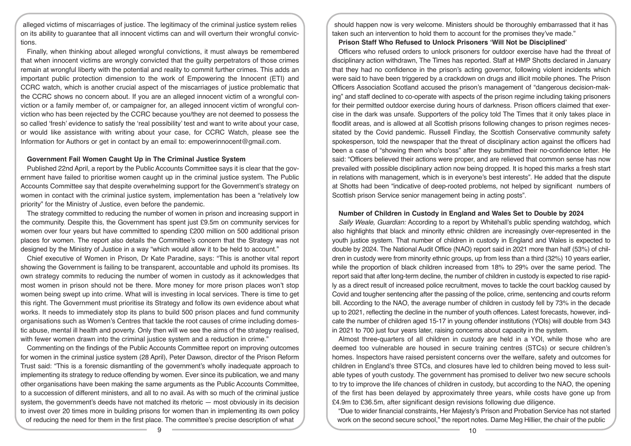alleged victims of miscarriages of justice. The legitimacy of the criminal justice system relies on its ability to guarantee that all innocent victims can and will overturn their wrongful convictions.

Finally, when thinking about alleged wrongful convictions, it must always be remembered that when innocent victims are wrongly convicted that the guilty perpetrators of those crimes remain at wrongful liberty with the potential and reality to commit further crimes. This adds an important public protection dimension to the work of Empowering the Innocent (ETI) and CCRC watch, which is another crucial aspect of the miscarriages of justice problematic that the CCRC shows no concern about. If you are an alleged innocent victim of a wrongful conviction or a family member of, or campaigner for, an alleged innocent victim of wrongful conviction who has been rejected by the CCRC because you/they are not deemed to possess the so called 'fresh' evidence to satisfy the 'real possibility' test and want to write about your case, or would like assistance with writing about your case, for CCRC Watch, please see the Information for Authors or get in contact by an email to: empowerinnocent@gmail.com.

## **Government Fail Women Caught Up in The Criminal Justice System**

Published 22nd April, a report by the Public Accounts Committee says it is clear that the government have failed to prioritise women caught up in the criminal justice system. The Public Accounts Committee say that despite overwhelming support for the Government's strategy on women in contact with the criminal justice system, implementation has been a "relatively low priority" for the Ministry of Justice, even before the pandemic.

The strategy committed to reducing the number of women in prison and increasing support in the community. Despite this, the Government has spent just £9.5m on community services for women over four years but have committed to spending £200 million on 500 additional prison places for women. The report also details the Committee's concern that the Strategy was not designed by the Ministry of Justice in a way "which would allow it to be held to account."

Chief executive of Women in Prison, Dr Kate Paradine, says: "This is another vital report showing the Government is failing to be transparent, accountable and uphold its promises. Its own strategy commits to reducing the number of women in custody as it acknowledges that most women in prison should not be there. More money for more prison places won't stop women being swept up into crime. What will is investing in local services. There is time to get this right. The Government must prioritise its Strategy and follow its own evidence about what works. It needs to immediately stop its plans to build 500 prison places and fund community organisations such as Women's Centres that tackle the root causes of crime including domestic abuse, mental ill health and poverty. Only then will we see the aims of the strategy realised, with fewer women drawn into the criminal justice system and a reduction in crime."

Commenting on the findings of the Public Accounts Committee report on improving outcomes for women in the criminal justice system (28 April), Peter Dawson, director of the Prison Reform Trust said: "This is a forensic dismantling of the government's wholly inadequate approach to implementing its strategy to reduce offending by women. Ever since its publication, we and many other organisations have been making the same arguments as the Public Accounts Committee, to a succession of different ministers, and all to no avail. As with so much of the criminal justice system, the government's deeds have not matched its rhetoric — most obviously in its decision to invest over 20 times more in building prisons for women than in implementing its own policy of reducing the need for them in the first place. The committee's precise description of what

should happen now is very welcome. Ministers should be thoroughly embarrassed that it has taken such an intervention to hold them to account for the promises they've made."

## **Prison Staff Who Refused to Unlock Prisoners 'Will Not be Disciplined'**

Officers who refused orders to unlock prisoners for outdoor exercise have had the threat of disciplinary action withdrawn, The Times has reported. Staff at HMP Shotts declared in January that they had no confidence in the prison's acting governor, following violent incidents which were said to have been triggered by a crackdown on drugs and illicit mobile phones. The Prison Officers Association Scotland accused the prison's management of "dangerous decision-making" and staff declined to co-operate with aspects of the prison regime including taking prisoners for their permitted outdoor exercise during hours of darkness. Prison officers claimed that exercise in the dark was unsafe. Supporters of the policy told The Times that it only takes place in floodlit areas, and is allowed at all Scottish prisons following changes to prison regimes necessitated by the Covid pandemic. Russell Findlay, the Scottish Conservative community safety spokesperson, told the newspaper that the threat of disciplinary action against the officers had been a case of "showing them who's boss" after they submitted their no-confidence letter. He said: "Officers believed their actions were proper, and are relieved that common sense has now prevailed with possible disciplinary action now being dropped. It is hoped this marks a fresh start in relations with management, which is in everyone's best interests". He added that the dispute at Shotts had been "indicative of deep-rooted problems, not helped by significant numbers of Scottish prison Service senior management being in acting posts".

#### **Number of Children in Custody in England and Wales Set to Double by 2024**

*Sally Weale, Guardian:* According to a report by Whitehall's public spending watchdog, which also highlights that black and minority ethnic children are increasingly over-represented in the youth justice system. That number of children in custody in England and Wales is expected to double by 2024. The National Audit Office (NAO) report said in 2021 more than half (53%) of children in custody were from minority ethnic groups, up from less than a third (32%) 10 years earlier, while the proportion of black children increased from 18% to 29% over the same period. The report said that after long-term decline, the number of children in custody is expected to rise rapidly as a direct result of increased police recruitment, moves to tackle the court backlog caused by Covid and tougher sentencing after the passing of the police, crime, sentencing and courts reform bill. According to the NAO, the average number of children in custody fell by 73% in the decade up to 2021, reflecting the decline in the number of youth offences. Latest forecasts, however, indicate the number of children aged 15-17 in young offender institutions (YOIs) will double from 343 in 2021 to 700 just four years later, raising concerns about capacity in the system.

Almost three-quarters of all children in custody are held in a YOI, while those who are deemed too vulnerable are housed in secure training centres (STCs) or secure children's homes. Inspectors have raised persistent concerns over the welfare, safety and outcomes for children in England's three STCs, and closures have led to children being moved to less suitable types of youth custody. The government has promised to deliver two new secure schools to try to improve the life chances of children in custody, but according to the NAO, the opening of the first has been delayed by approximately three years, while costs have gone up from £4.9m to £36.5m, after significant design revisions following due diligence.

"Due to wider financial constraints, Her Majesty's Prison and Probation Service has not started work on the second secure school," the report notes. Dame Meg Hillier, the chair of the public